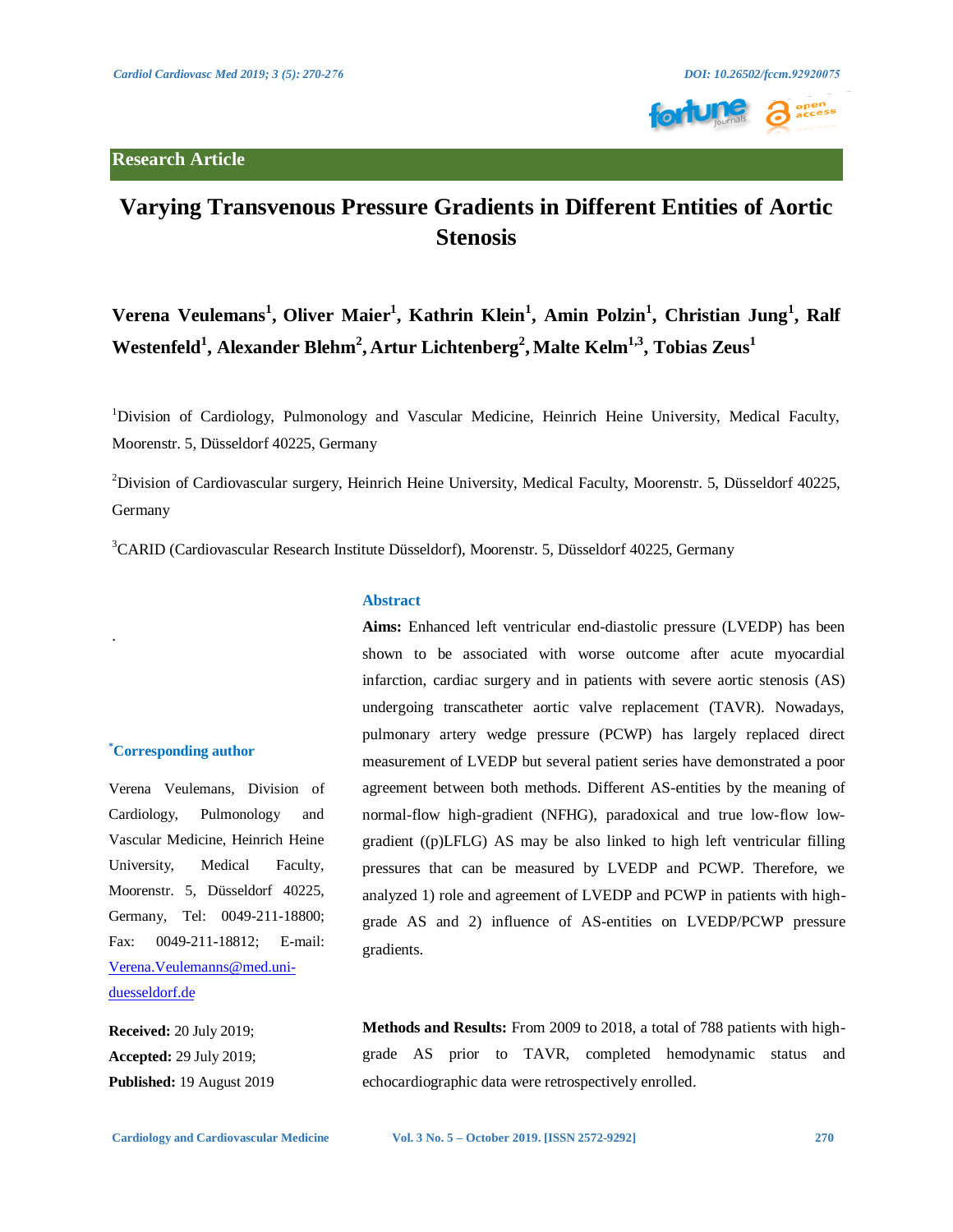.



# **Varying Transvenous Pressure Gradients in Different Entities of Aortic Stenosis**

# $V$ erena  $V$ eulemans<sup>1</sup>, Oliver Maier<sup>1</sup>, Kathrin Klein<sup>1</sup>, Amin Polzin<sup>1</sup>, Christian Jung<sup>1</sup>, Ralf **Westenfeld<sup>1</sup> , Alexander Blehm<sup>2</sup> , Artur Lichtenberg<sup>2</sup> , Malte Kelm1,3, Tobias Zeus1**

<sup>1</sup>Division of Cardiology, Pulmonology and Vascular Medicine, Heinrich Heine University, Medical Faculty, Moorenstr. 5, Düsseldorf 40225, Germany

<sup>2</sup>Division of Cardiovascular surgery, Heinrich Heine University, Medical Faculty, Moorenstr. 5, Düsseldorf 40225, Germany

3 CARID (Cardiovascular Research Institute Düsseldorf), Moorenstr. 5, Düsseldorf 40225, Germany

## **Abstract**

infarction, cardiac surgery and in patients with severe aortic stenosis (AS) undergoing transcatheter aortic valve replacement (TAVR). Nowadays, pulmonary artery wedge pressure (PCWP) has largely replaced direct measurement of LVEDP but several patient series have demonstrated a poor agreement between both methods. Different AS-entities by the meaning of normal-flow high-gradient (NFHG), paradoxical and true low-flow lowgradient ((p)LFLG) AS may be also linked to high left ventricular filling pressures that can be measured by LVEDP and PCWP. Therefore, we analyzed 1) role and agreement of LVEDP and PCWP in patients with highgrade AS and 2) influence of AS-entities on LVEDP/PCWP pressure gradients.

**Aims:** Enhanced left ventricular end-diastolic pressure (LVEDP) has been shown to be associated with worse outcome after acute myocardial

**Received:** 20 July 2019; **Accepted:** 29 July 2019; **Published:** 19 August 2019

[duesseldorf.de](mailto:Verena.Veulemanns@med.uni-duesseldorf.de) 

**\* Corresponding author** 

Verena Veulemans, Division of Cardiology, Pulmonology and Vascular Medicine, Heinrich Heine University, Medical Faculty, Moorenstr. 5, Düsseldorf 40225, Germany, Tel: 0049-211-18800; Fax: 0049-211-18812; E-mail: [Verena.Veulemanns@med.uni-](mailto:Verena.Veulemanns@med.uni-duesseldorf.de)

> **Methods and Results:** From 2009 to 2018, a total of 788 patients with highgrade AS prior to TAVR, completed hemodynamic status and echocardiographic data were retrospectively enrolled.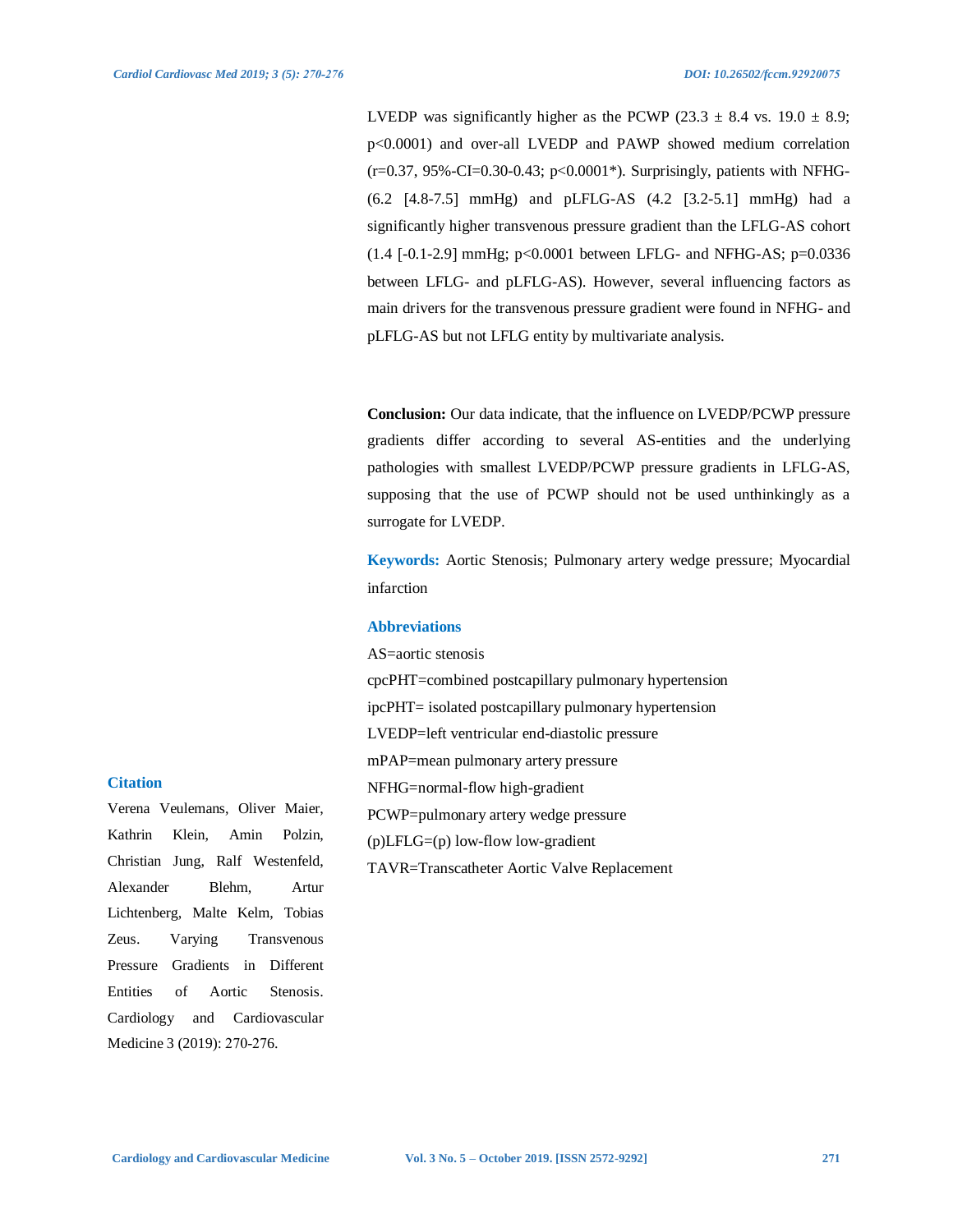LVEDP was significantly higher as the PCWP (23.3  $\pm$  8.4 vs. 19.0  $\pm$  8.9; p<0.0001) and over-all LVEDP and PAWP showed medium correlation (r=0.37, 95%-CI=0.30-0.43; p<0.0001\*). Surprisingly, patients with NFHG-  $(6.2 \, [4.8-7.5] \, \text{mmHg})$  and  $pLFLG-AS$   $(4.2 \, [3.2-5.1] \, \text{mmHg})$  had a significantly higher transvenous pressure gradient than the LFLG-AS cohort  $(1.4$  [-0.1-2.9] mmHg;  $p<0.0001$  between LFLG- and NFHG-AS;  $p=0.0336$ between LFLG- and pLFLG-AS). However, several influencing factors as main drivers for the transvenous pressure gradient were found in NFHG- and pLFLG-AS but not LFLG entity by multivariate analysis.

**Conclusion:** Our data indicate, that the influence on LVEDP/PCWP pressure gradients differ according to several AS-entities and the underlying pathologies with smallest LVEDP/PCWP pressure gradients in LFLG-AS, supposing that the use of PCWP should not be used unthinkingly as a surrogate for LVEDP.

**Keywords:** Aortic Stenosis; Pulmonary artery wedge pressure; Myocardial infarction

### **Abbreviations**

AS=aortic stenosis

cpcPHT=combined postcapillary pulmonary hypertension ipcPHT= isolated postcapillary pulmonary hypertension

LVEDP=left ventricular end-diastolic pressure

mPAP=mean pulmonary artery pressure

NFHG=normal-flow high-gradient

PCWP=pulmonary artery wedge pressure

(p)LFLG=(p) low-flow low-gradient

TAVR=Transcatheter Aortic Valve Replacement

### **Citation**

Verena Veulemans, Oliver Maier, Kathrin Klein, Amin Polzin, Christian Jung, Ralf Westenfeld, Alexander Blehm, Artur Lichtenberg, Malte Kelm, Tobias Zeus. Varying Transvenous Pressure Gradients in Different Entities of Aortic Stenosis. Cardiology and Cardiovascular Medicine 3 (2019): 270-276.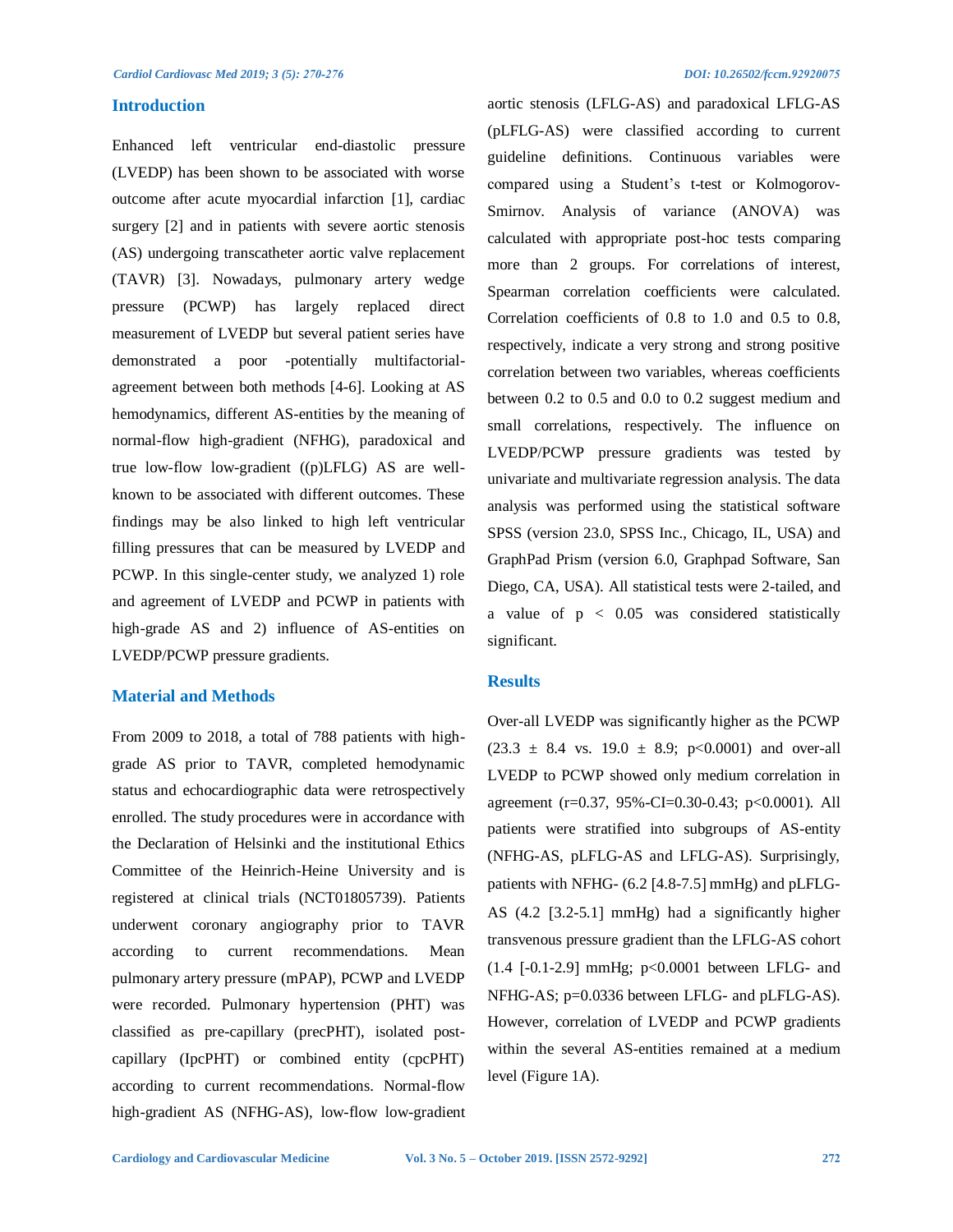### **Introduction**

Enhanced left ventricular end-diastolic pressure (LVEDP) has been shown to be associated with worse outcome after acute myocardial infarction [1], cardiac surgery [2] and in patients with severe aortic stenosis (AS) undergoing transcatheter aortic valve replacement (TAVR) [3]. Nowadays, pulmonary artery wedge pressure (PCWP) has largely replaced direct measurement of LVEDP but several patient series have demonstrated a poor -potentially multifactorialagreement between both methods [4-6]. Looking at AS hemodynamics, different AS-entities by the meaning of normal-flow high-gradient (NFHG), paradoxical and true low-flow low-gradient ((p)LFLG) AS are wellknown to be associated with different outcomes. These findings may be also linked to high left ventricular filling pressures that can be measured by LVEDP and PCWP. In this single-center study, we analyzed 1) role and agreement of LVEDP and PCWP in patients with high-grade AS and 2) influence of AS-entities on LVEDP/PCWP pressure gradients.

# **Material and Methods**

From 2009 to 2018, a total of 788 patients with highgrade AS prior to TAVR, completed hemodynamic status and echocardiographic data were retrospectively enrolled. The study procedures were in accordance with the Declaration of Helsinki and the institutional Ethics Committee of the Heinrich-Heine University and is registered at clinical trials (NCT01805739). Patients underwent coronary angiography prior to TAVR according to current recommendations. Mean pulmonary artery pressure (mPAP), PCWP and LVEDP were recorded. Pulmonary hypertension (PHT) was classified as pre-capillary (precPHT), isolated postcapillary (IpcPHT) or combined entity (cpcPHT) according to current recommendations. Normal-flow high-gradient AS (NFHG-AS), low-flow low-gradient aortic stenosis (LFLG-AS) and paradoxical LFLG-AS (pLFLG-AS) were classified according to current guideline definitions. Continuous variables were compared using a Student's t-test or Kolmogorov-Smirnov. Analysis of variance (ANOVA) was calculated with appropriate post-hoc tests comparing more than 2 groups. For correlations of interest, Spearman correlation coefficients were calculated. Correlation coefficients of 0.8 to 1.0 and 0.5 to 0.8, respectively, indicate a very strong and strong positive correlation between two variables, whereas coefficients between 0.2 to 0.5 and 0.0 to 0.2 suggest medium and small correlations, respectively. The influence on LVEDP/PCWP pressure gradients was tested by univariate and multivariate regression analysis. The data analysis was performed using the statistical software SPSS (version 23.0, SPSS Inc., Chicago, IL, USA) and GraphPad Prism (version 6.0, Graphpad Software, San Diego, CA, USA). All statistical tests were 2-tailed, and a value of  $p < 0.05$  was considered statistically significant.

### **Results**

Over-all LVEDP was significantly higher as the PCWP  $(23.3 \pm 8.4 \text{ vs. } 19.0 \pm 8.9; \text{ p} < 0.0001)$  and over-all LVEDP to PCWP showed only medium correlation in agreement (r=0.37, 95%-CI=0.30-0.43; p<0.0001). All patients were stratified into subgroups of AS-entity (NFHG-AS, pLFLG-AS and LFLG-AS). Surprisingly, patients with NFHG-  $(6.2 \text{ } [4.8-7.5] \text{ mmHg})$  and pLFLG-AS  $(4.2 \, [3.2-5.1] \, \text{mmHg})$  had a significantly higher transvenous pressure gradient than the LFLG-AS cohort  $(1.4$  [-0.1-2.9] mmHg; p<0.0001 between LFLG- and NFHG-AS; p=0.0336 between LFLG- and pLFLG-AS). However, correlation of LVEDP and PCWP gradients within the several AS-entities remained at a medium level (Figure 1A).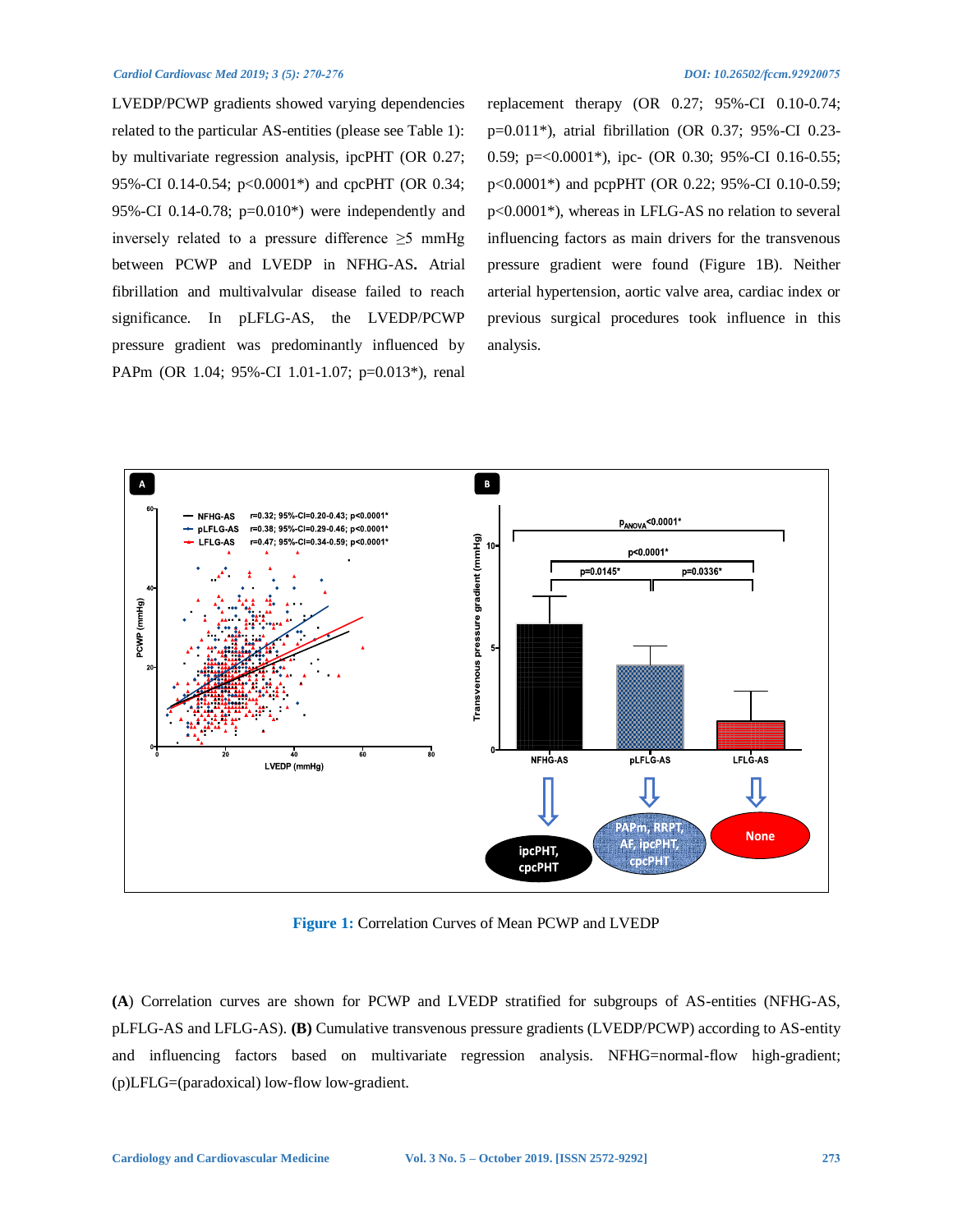### *Cardiol Cardiovasc Med 2019; 3 (5): 270-276 DOI: 10.26502/fccm.92920075*

LVEDP/PCWP gradients showed varying dependencies related to the particular AS-entities (please see Table 1): by multivariate regression analysis, ipcPHT (OR 0.27; 95%-CI 0.14-0.54; p<0.0001<sup>\*</sup>) and cpcPHT (OR 0.34; 95%-CI 0.14-0.78;  $p=0.010^*$ ) were independently and inversely related to a pressure difference  $\geq$ 5 mmHg between PCWP and LVEDP in NFHG-AS**.** Atrial fibrillation and multivalvular disease failed to reach significance. In pLFLG-AS, the LVEDP/PCWP pressure gradient was predominantly influenced by PAPm (OR 1.04; 95%-CI 1.01-1.07; p=0.013\*), renal

replacement therapy (OR 0.27; 95%-CI 0.10-0.74; p=0.011\*), atrial fibrillation (OR 0.37; 95%-CI 0.23- 0.59; p=<0.0001\*), ipc- (OR 0.30; 95%-CI 0.16-0.55; p<0.0001\*) and pcpPHT (OR 0.22; 95%-CI 0.10-0.59; p<0.0001\*), whereas in LFLG-AS no relation to several influencing factors as main drivers for the transvenous pressure gradient were found (Figure 1B). Neither arterial hypertension, aortic valve area, cardiac index or previous surgical procedures took influence in this analysis.



**Figure 1:** Correlation Curves of Mean PCWP and LVEDP

**(A**) Correlation curves are shown for PCWP and LVEDP stratified for subgroups of AS-entities (NFHG-AS, pLFLG-AS and LFLG-AS). **(B)** Cumulative transvenous pressure gradients (LVEDP/PCWP) according to AS-entity and influencing factors based on multivariate regression analysis. NFHG=normal-flow high-gradient; (p)LFLG=(paradoxical) low-flow low-gradient.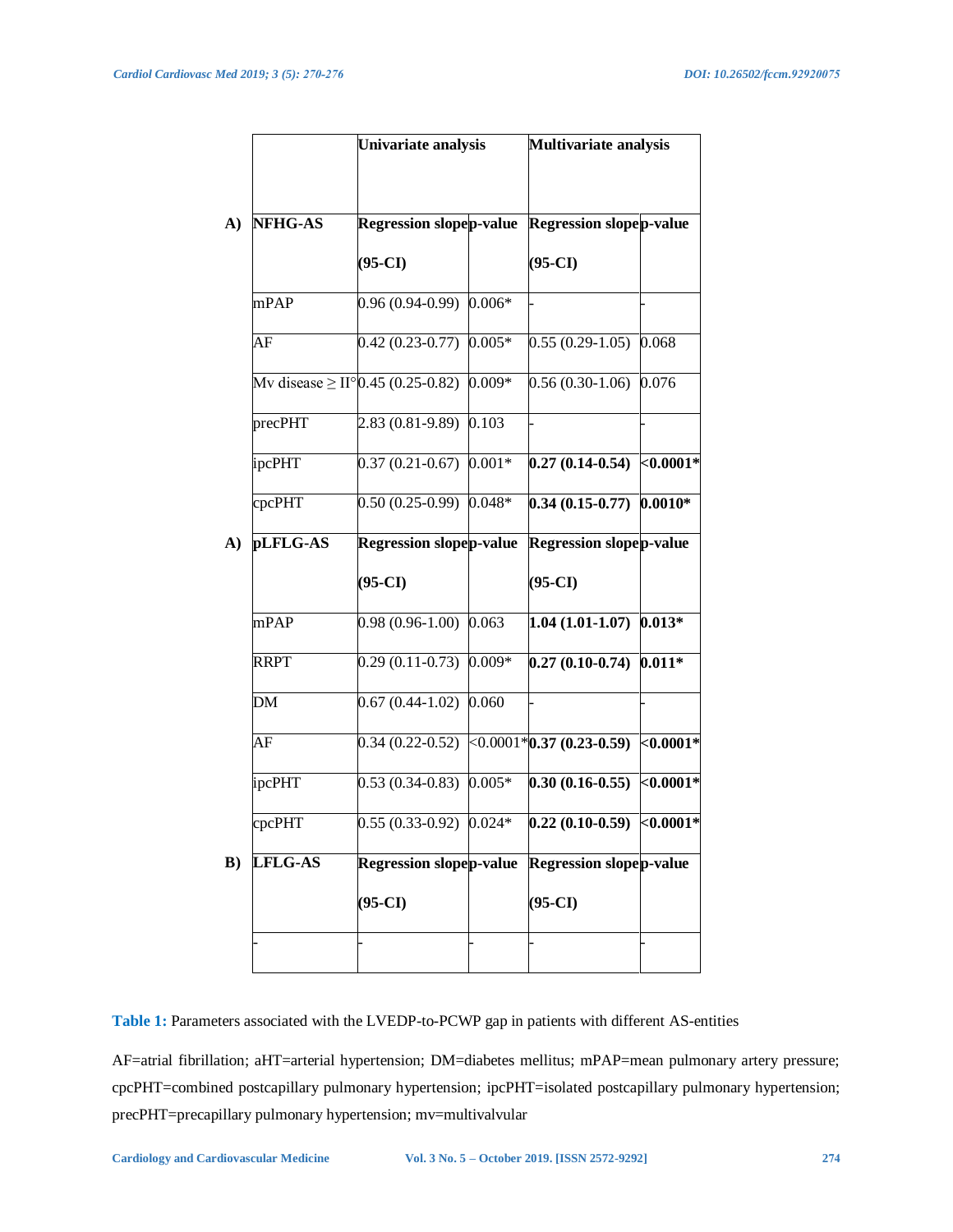|                | Univariate analysis<br><b>Regression slopep-value</b> |          | Multivariate analysis<br><b>Regression slopep-value</b> |           |
|----------------|-------------------------------------------------------|----------|---------------------------------------------------------|-----------|
| <b>NFHG-AS</b> |                                                       |          |                                                         |           |
|                | $(95-CI)$                                             |          | $(95-CI)$                                               |           |
| mPAP           | $0.96(0.94-0.99)$                                     | $0.006*$ |                                                         |           |
| AF             | $0.42(0.23-0.77)$                                     | $0.005*$ | $0.55(0.29-1.05)$                                       | 0.068     |
|                | Mv disease $\geq$ II° 0.45 (0.25-0.82)                | $0.009*$ | $0.56(0.30-1.06)$                                       | 0.076     |
| precPHT        | $2.83(0.81-9.89)$                                     | 0.103    |                                                         |           |
| ipcPHT         | $0.37(0.21-0.67)$                                     | $0.001*$ | $0.27(0.14-0.54)$ <0.0001*                              |           |
| cpcPHT         | $0.50(0.25-0.99)$ 0.048*                              |          | $0.34(0.15-0.77)$ 0.0010*                               |           |
| pLFLG-AS       | <b>Regression slopep-value</b>                        |          | <b>Regression slopep-value</b>                          |           |
|                | $(95-CI)$                                             |          | $(95-CI)$                                               |           |
| mPAP           | $0.98(0.96-1.00)$                                     | 0.063    | $1.04(1.01-1.07)$                                       | $0.013*$  |
| <b>RRPT</b>    | $0.29(0.11-0.73)$                                     | $0.009*$ | $0.27(0.10-0.74)$                                       | $0.011*$  |
| <b>DM</b>      | $0.67(0.44-1.02)$ 0.060                               |          |                                                         |           |
| AF             |                                                       |          | $0.34(0.22-0.52)$ < $0.0001*0.37(0.23-0.59)$            | $0.0001*$ |
| ipcPHT         | $0.53(0.34-0.83)$                                     | $0.005*$ | $0.30(0.16 - 0.55)$ <0.0001*                            |           |
| cpcPHT         | $0.55(0.33-0.92)$ $0.024*$                            |          | $0.22(0.10-0.59)$ <0.0001*                              |           |
| <b>LFLG-AS</b> | <b>Regression slopep-value</b>                        |          | Regression slopep-value                                 |           |
|                | $(95-CI)$                                             |          | $(95-CI)$                                               |           |
|                |                                                       |          |                                                         |           |

**Table 1:** Parameters associated with the LVEDP-to-PCWP gap in patients with different AS-entities

AF=atrial fibrillation; aHT=arterial hypertension; DM=diabetes mellitus; mPAP=mean pulmonary artery pressure; cpcPHT=combined postcapillary pulmonary hypertension; ipcPHT=isolated postcapillary pulmonary hypertension; precPHT=precapillary pulmonary hypertension; mv=multivalvular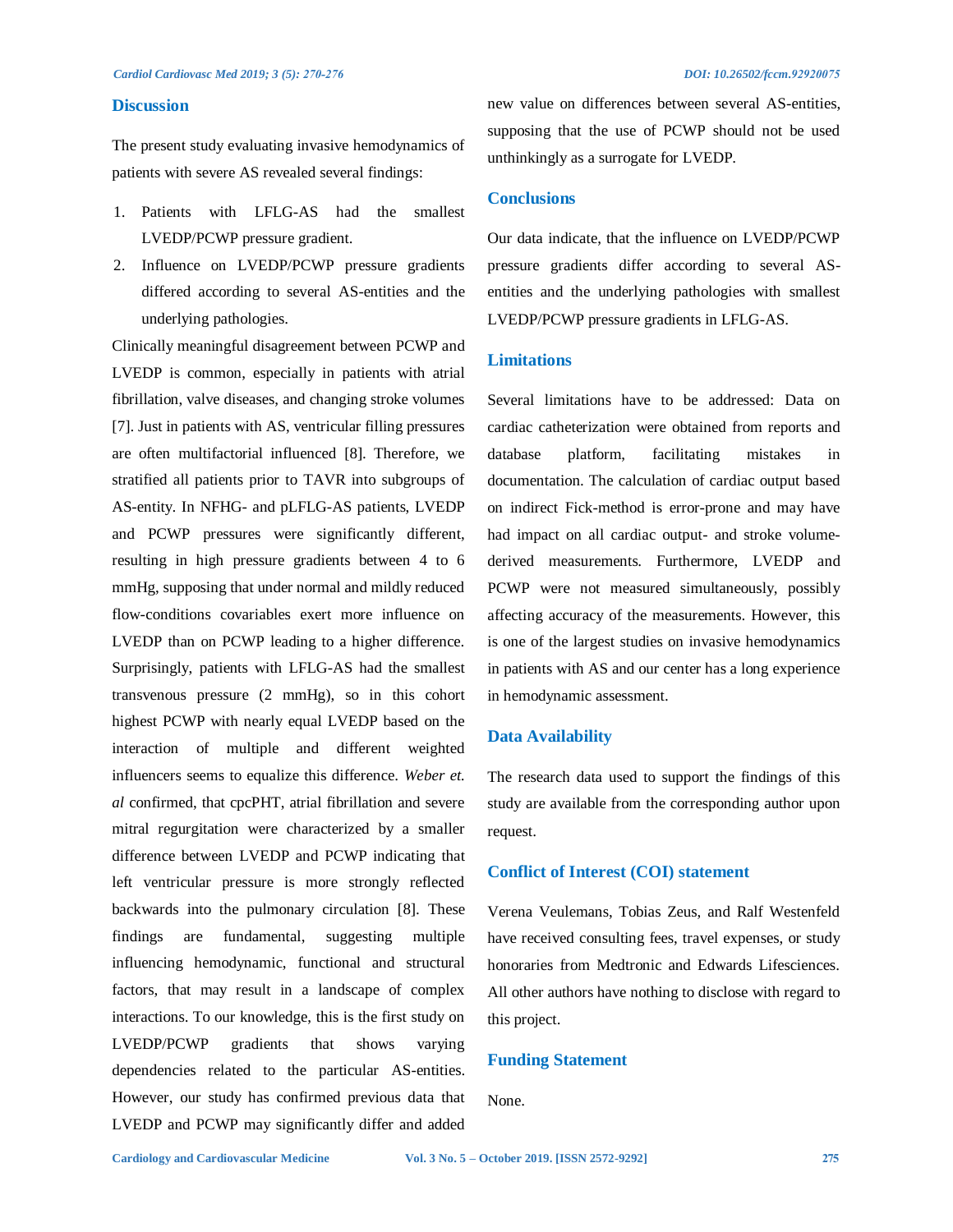### **Discussion**

The present study evaluating invasive hemodynamics of patients with severe AS revealed several findings:

- 1. Patients with LFLG-AS had the smallest LVEDP/PCWP pressure gradient.
- 2. Influence on LVEDP/PCWP pressure gradients differed according to several AS-entities and the underlying pathologies.

Clinically meaningful disagreement between PCWP and LVEDP is common, especially in patients with atrial fibrillation, valve diseases, and changing stroke volumes [7]. Just in patients with AS, ventricular filling pressures are often multifactorial influenced [8]. Therefore, we stratified all patients prior to TAVR into subgroups of AS-entity. In NFHG- and pLFLG-AS patients, LVEDP and PCWP pressures were significantly different, resulting in high pressure gradients between 4 to 6 mmHg, supposing that under normal and mildly reduced flow-conditions covariables exert more influence on LVEDP than on PCWP leading to a higher difference. Surprisingly, patients with LFLG-AS had the smallest transvenous pressure (2 mmHg), so in this cohort highest PCWP with nearly equal LVEDP based on the interaction of multiple and different weighted influencers seems to equalize this difference. *Weber et. al* confirmed, that cpcPHT, atrial fibrillation and severe mitral regurgitation were characterized by a smaller difference between LVEDP and PCWP indicating that left ventricular pressure is more strongly reflected backwards into the pulmonary circulation [8]. These findings are fundamental, suggesting multiple influencing hemodynamic, functional and structural factors, that may result in a landscape of complex interactions. To our knowledge, this is the first study on LVEDP/PCWP gradients that shows varying dependencies related to the particular AS-entities. However, our study has confirmed previous data that LVEDP and PCWP may significantly differ and added new value on differences between several AS-entities, supposing that the use of PCWP should not be used unthinkingly as a surrogate for LVEDP.

## **Conclusions**

Our data indicate, that the influence on LVEDP/PCWP pressure gradients differ according to several ASentities and the underlying pathologies with smallest LVEDP/PCWP pressure gradients in LFLG-AS.

# **Limitations**

Several limitations have to be addressed: Data on cardiac catheterization were obtained from reports and database platform, facilitating mistakes in documentation. The calculation of cardiac output based on indirect Fick-method is error-prone and may have had impact on all cardiac output- and stroke volumederived measurements. Furthermore, LVEDP and PCWP were not measured simultaneously, possibly affecting accuracy of the measurements. However, this is one of the largest studies on invasive hemodynamics in patients with AS and our center has a long experience in hemodynamic assessment.

# **Data Availability**

The research data used to support the findings of this study are available from the corresponding author upon request.

# **Conflict of Interest (COI) statement**

Verena Veulemans, Tobias Zeus, and Ralf Westenfeld have received consulting fees, travel expenses, or study honoraries from Medtronic and Edwards Lifesciences. All other authors have nothing to disclose with regard to this project.

# **Funding Statement**

None.